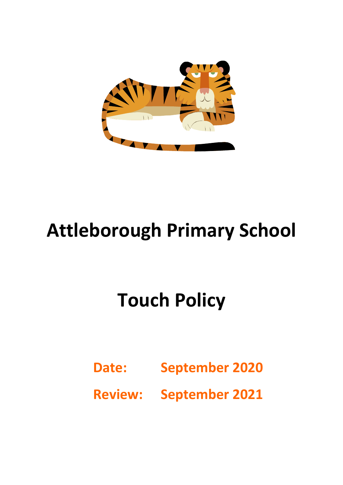

## **Attleborough Primary School**

# **Touch Policy**

- **Date: September 2020**
- **Review: September 2021**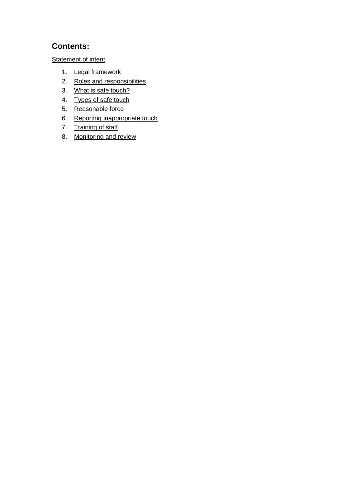## **Contents:**

**[Statement of intent](#page-2-0)** 

- 1. [Legal framework](#page-3-0)
- 2. [Roles and responsibilities](#page-3-1)
- 3. [What is safe touch?](#page-3-2)
- 4. [Types of safe touch](#page-4-0)
- 5. [Reasonable force](#page-5-0)
- 6. [Reporting inappropriate touch](#page-6-0)
- 7. [Training of staff](#page-6-1)
- 8. [Monitoring and review](#page-6-2)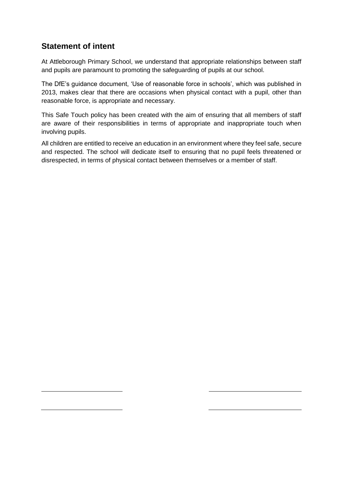## <span id="page-2-0"></span>**Statement of intent**

At Attleborough Primary School, we understand that appropriate relationships between staff and pupils are paramount to promoting the safeguarding of pupils at our school.

The DfE's guidance document, 'Use of reasonable force in schools', which was published in 2013, makes clear that there are occasions when physical contact with a pupil, other than reasonable force, is appropriate and necessary.

This Safe Touch policy has been created with the aim of ensuring that all members of staff are aware of their responsibilities in terms of appropriate and inappropriate touch when involving pupils.

All children are entitled to receive an education in an environment where they feel safe, secure and respected. The school will dedicate itself to ensuring that no pupil feels threatened or disrespected, in terms of physical contact between themselves or a member of staff.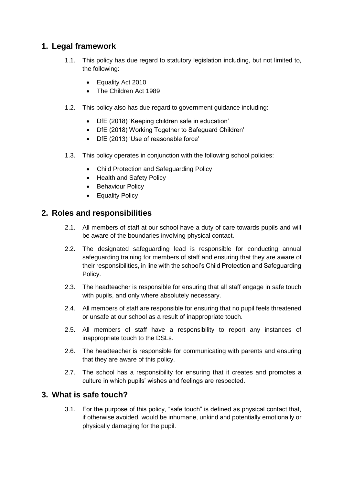## <span id="page-3-0"></span>**1. Legal framework**

- 1.1. This policy has due regard to statutory legislation including, but not limited to, the following:
	- Equality Act 2010
	- The Children Act 1989
- 1.2. This policy also has due regard to government guidance including:
	- DfE (2018) 'Keeping children safe in education'
	- DfE (2018) Working Together to Safeguard Children'
	- DfE (2013) 'Use of reasonable force'
- 1.3. This policy operates in conjunction with the following school policies:
	- Child Protection and Safeguarding Policy
	- Health and Safety Policy
	- Behaviour Policy
	- Equality Policy

#### <span id="page-3-1"></span>**2. Roles and responsibilities**

- 2.1. All members of staff at our school have a duty of care towards pupils and will be aware of the boundaries involving physical contact.
- 2.2. The designated safeguarding lead is responsible for conducting annual safeguarding training for members of staff and ensuring that they are aware of their responsibilities, in line with the school's Child Protection and Safeguarding Policy.
- 2.3. The headteacher is responsible for ensuring that all staff engage in safe touch with pupils, and only where absolutely necessary.
- 2.4. All members of staff are responsible for ensuring that no pupil feels threatened or unsafe at our school as a result of inappropriate touch.
- 2.5. All members of staff have a responsibility to report any instances of inappropriate touch to the DSLs.
- 2.6. The headteacher is responsible for communicating with parents and ensuring that they are aware of this policy.
- 2.7. The school has a responsibility for ensuring that it creates and promotes a culture in which pupils' wishes and feelings are respected.

#### <span id="page-3-2"></span>**3. What is safe touch?**

3.1. For the purpose of this policy, "safe touch" is defined as physical contact that, if otherwise avoided, would be inhumane, unkind and potentially emotionally or physically damaging for the pupil.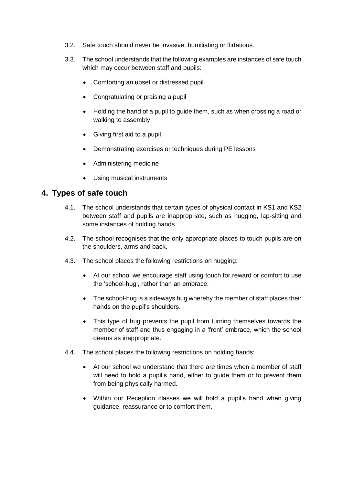- 3.2. Safe touch should never be invasive, humiliating or flirtatious.
- 3.3. The school understands that the following examples are instances of safe touch which may occur between staff and pupils:
	- Comforting an upset or distressed pupil
	- Congratulating or praising a pupil
	- Holding the hand of a pupil to guide them, such as when crossing a road or walking to assembly
	- Giving first aid to a pupil
	- Demonstrating exercises or techniques during PE lessons
	- Administering medicine
	- Using musical instruments

## <span id="page-4-0"></span>**4. Types of safe touch**

- 4.1. The school understands that certain types of physical contact in KS1 and KS2 between staff and pupils are inappropriate, such as hugging, lap-sitting and some instances of holding hands.
- 4.2. The school recognises that the only appropriate places to touch pupils are on the shoulders, arms and back.
- 4.3. The school places the following restrictions on hugging:
	- At our school we encourage staff using touch for reward or comfort to use the 'school-hug', rather than an embrace.
	- The school-hug is a sideways hug whereby the member of staff places their hands on the pupil's shoulders.
	- This type of hug prevents the pupil from turning themselves towards the member of staff and thus engaging in a 'front' embrace, which the school deems as inappropriate.
- 4.4. The school places the following restrictions on holding hands:
	- At our school we understand that there are times when a member of staff will need to hold a pupil's hand, either to quide them or to prevent them from being physically harmed.
	- Within our Reception classes we will hold a pupil's hand when giving guidance, reassurance or to comfort them.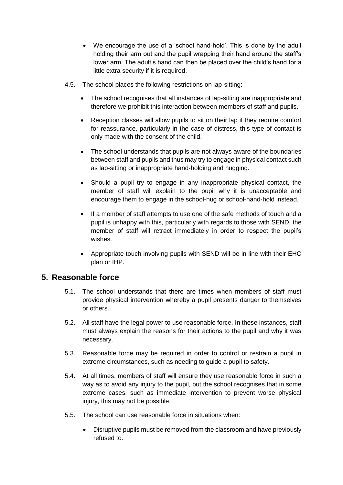- We encourage the use of a 'school hand-hold'. This is done by the adult holding their arm out and the pupil wrapping their hand around the staff's lower arm. The adult's hand can then be placed over the child's hand for a little extra security if it is required.
- 4.5. The school places the following restrictions on lap-sitting:
	- The school recognises that all instances of lap-sitting are inappropriate and therefore we prohibit this interaction between members of staff and pupils.
	- Reception classes will allow pupils to sit on their lap if they require comfort for reassurance, particularly in the case of distress, this type of contact is only made with the consent of the child.
	- The school understands that pupils are not always aware of the boundaries between staff and pupils and thus may try to engage in physical contact such as lap-sitting or inappropriate hand-holding and hugging.
	- Should a pupil try to engage in any inappropriate physical contact, the member of staff will explain to the pupil why it is unacceptable and encourage them to engage in the school-hug or school-hand-hold instead.
	- If a member of staff attempts to use one of the safe methods of touch and a pupil is unhappy with this, particularly with regards to those with SEND, the member of staff will retract immediately in order to respect the pupil's wishes.
	- Appropriate touch involving pupils with SEND will be in line with their EHC plan or IHP.

#### <span id="page-5-0"></span>**5. Reasonable force**

- 5.1. The school understands that there are times when members of staff must provide physical intervention whereby a pupil presents danger to themselves or others.
- 5.2. All staff have the legal power to use reasonable force. In these instances, staff must always explain the reasons for their actions to the pupil and why it was necessary.
- 5.3. Reasonable force may be required in order to control or restrain a pupil in extreme circumstances, such as needing to guide a pupil to safety.
- 5.4. At all times, members of staff will ensure they use reasonable force in such a way as to avoid any injury to the pupil, but the school recognises that in some extreme cases, such as immediate intervention to prevent worse physical injury, this may not be possible.
- 5.5. The school can use reasonable force in situations when:
	- Disruptive pupils must be removed from the classroom and have previously refused to.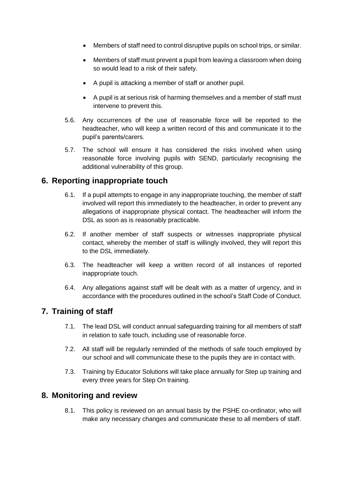- Members of staff need to control disruptive pupils on school trips, or similar.
- Members of staff must prevent a pupil from leaving a classroom when doing so would lead to a risk of their safety.
- A pupil is attacking a member of staff or another pupil.
- A pupil is at serious risk of harming themselves and a member of staff must intervene to prevent this.
- 5.6. Any occurrences of the use of reasonable force will be reported to the headteacher, who will keep a written record of this and communicate it to the pupil's parents/carers.
- 5.7. The school will ensure it has considered the risks involved when using reasonable force involving pupils with SEND, particularly recognising the additional vulnerability of this group.

## <span id="page-6-0"></span>**6. Reporting inappropriate touch**

- 6.1. If a pupil attempts to engage in any inappropriate touching, the member of staff involved will report this immediately to the headteacher, in order to prevent any allegations of inappropriate physical contact. The headteacher will inform the DSL as soon as is reasonably practicable.
- 6.2. If another member of staff suspects or witnesses inappropriate physical contact, whereby the member of staff is willingly involved, they will report this to the DSL immediately.
- 6.3. The headteacher will keep a written record of all instances of reported inappropriate touch.
- 6.4. Any allegations against staff will be dealt with as a matter of urgency, and in accordance with the procedures outlined in the school's Staff Code of Conduct.

#### <span id="page-6-1"></span>**7. Training of staff**

- 7.1. The lead DSL will conduct annual safeguarding training for all members of staff in relation to safe touch, including use of reasonable force.
- 7.2. All staff will be regularly reminded of the methods of safe touch employed by our school and will communicate these to the pupils they are in contact with.
- 7.3. Training by Educator Solutions will take place annually for Step up training and every three years for Step On training.

#### <span id="page-6-2"></span>**8. Monitoring and review**

8.1. This policy is reviewed on an annual basis by the PSHE co-ordinator, who will make any necessary changes and communicate these to all members of staff.